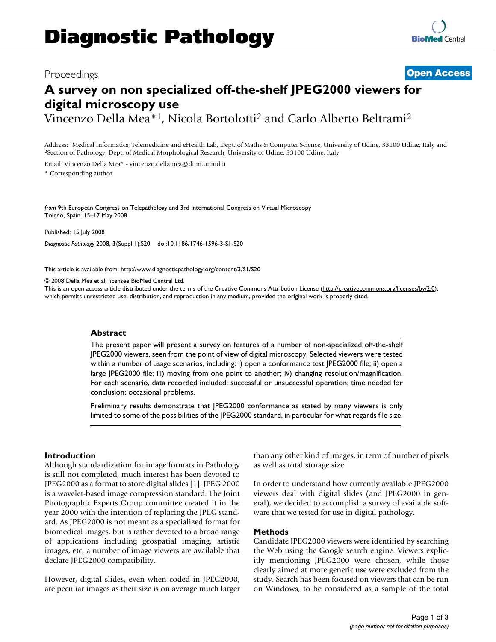# Proceedings **[Open Access](http://www.biomedcentral.com/info/about/charter/)**

# **A survey on non specialized off-the-shelf JPEG2000 viewers for digital microscopy use**

Vincenzo Della Mea\*1, Nicola Bortolotti2 and Carlo Alberto Beltrami2

Address: <sup>1</sup>Medical Informatics, Telemedicine and eHealth Lab, Dept. of Maths & Computer Science, University of Udine, 33100 Udine, Italy and <sup>2</sup>Section of Pathology, Dept. of Medical Morphological Research, University of

Email: Vincenzo Della Mea\* - vincenzo.dellamea@dimi.uniud.it

\* Corresponding author

*from* 9th European Congress on Telepathology and 3rd International Congress on Virtual Microscopy Toledo, Spain. 15–17 May 2008

Published: 15 July 2008 *Diagnostic Pathology* 2008, **3**(Suppl 1):S20 doi:10.1186/1746-1596-3-S1-S20

[This article is available from: http://www.diagnosticpathology.org/content/3/S1/S20](http://www.diagnosticpathology.org/content/3/S1/S20)

© 2008 Della Mea et al; licensee BioMed Central Ltd.

This is an open access article distributed under the terms of the Creative Commons Attribution License [\(http://creativecommons.org/licenses/by/2.0\)](http://creativecommons.org/licenses/by/2.0), which permits unrestricted use, distribution, and reproduction in any medium, provided the original work is properly cited.

#### **Abstract**

The present paper will present a survey on features of a number of non-specialized off-the-shelf JPEG2000 viewers, seen from the point of view of digital microscopy. Selected viewers were tested within a number of usage scenarios, including: i) open a conformance test JPEG2000 file; ii) open a large JPEG2000 file; iii) moving from one point to another; iv) changing resolution/magnification. For each scenario, data recorded included: successful or unsuccessful operation; time needed for conclusion; occasional problems.

Preliminary results demonstrate that JPEG2000 conformance as stated by many viewers is only limited to some of the possibilities of the JPEG2000 standard, in particular for what regards file size.

# **Introduction**

Although standardization for image formats in Pathology is still not completed, much interest has been devoted to JPEG2000 as a format to store digital slides [1]. JPEG 2000 is a wavelet-based image compression standard. The Joint Photographic Experts Group committee created it in the year 2000 with the intention of replacing the JPEG standard. As JPEG2000 is not meant as a specialized format for biomedical images, but is rather devoted to a broad range of applications including geospatial imaging, artistic images, etc, a number of image viewers are available that declare JPEG2000 compatibility.

However, digital slides, even when coded in JPEG2000, are peculiar images as their size is on average much larger than any other kind of images, in term of number of pixels as well as total storage size.

In order to understand how currently available JPEG2000 viewers deal with digital slides (and JPEG2000 in general), we decided to accomplish a survey of available software that we tested for use in digital pathology.

#### **Methods**

Candidate JPEG2000 viewers were identified by searching the Web using the Google search engine. Viewers explicitly mentioning JPEG2000 were chosen, while those clearly aimed at more generic use were excluded from the study. Search has been focused on viewers that can be run on Windows, to be considered as a sample of the total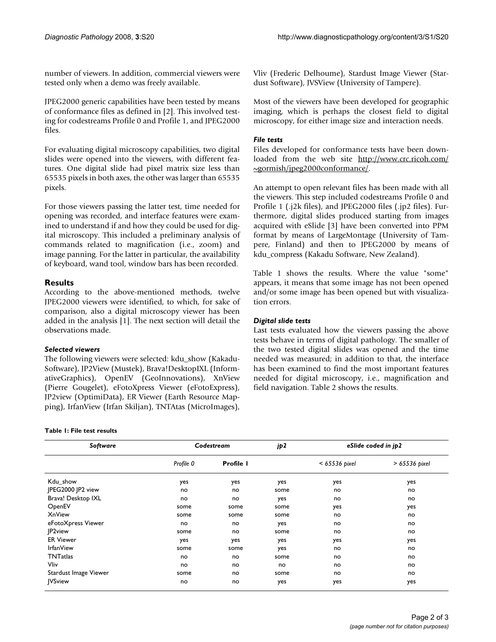number of viewers. In addition, commercial viewers were tested only when a demo was freely available.

JPEG2000 generic capabilities have been tested by means of conformance files as defined in [2]. This involved testing for codestreams Profile 0 and Profile 1, and JPEG2000 files.

For evaluating digital microscopy capabilities, two digital slides were opened into the viewers, with different features. One digital slide had pixel matrix size less than 65535 pixels in both axes, the other was larger than 65535 pixels.

For those viewers passing the latter test, time needed for opening was recorded, and interface features were examined to understand if and how they could be used for digital microscopy. This included a preliminary analysis of commands related to magnification (i.e., zoom) and image panning. For the latter in particular, the availability of keyboard, wand tool, window bars has been recorded.

# **Results**

According to the above-mentioned methods, twelve JPEG2000 viewers were identified, to which, for sake of comparison, also a digital microscopy viewer has been added in the analysis [1]. The next section will detail the observations made.

# *Selected viewers*

The following viewers were selected: kdu\_show (Kakadu-Software), JP2View (Mustek), Brava!DesktopIXL (InformativeGraphics), OpenEV (GeoInnovations), XnView (Pierre Gougelet), eFotoXpress Viewer (eFotoExpress), JP2view (OptimiData), ER Viewer (Earth Resource Mapping), IrfanView (Irfan Skiljan), TNTAtas (MicroImages),

#### **Table 1: File test results**

*Software Codestream jp2 eSlide coded in jp2 Profile 0* **Profile 1** *< 65536 pixel > 65536 pixel* Kdu\_show yes yes yes yes yes JPEG2000 JP2 view no no some no no Brava! Desktop IXL no no yes no no OpenEV some some some yes yes XnView some some some no no eFotoXpress Viewer no no yes no no JP2view some no some no no ER Viewer yes yes yes yes yes IrfanView some some yes no no TNTatlas no no some no no Vliv no no no no no Stardust Image Viewer **no** some no no some no no no no no no no JVSview no no yes yes yes

Vliv (Frederic Delhoume), Stardust Image Viewer (Stardust Software), JVSView (University of Tampere).

Most of the viewers have been developed for geographic imaging, which is perhaps the closest field to digital microscopy, for either image size and interaction needs.

# *File tests*

Files developed for conformance tests have been downloaded from the web site [http://www.crc.ricoh.com/](http://www.crc.ricoh.com/~gormish/jpeg2000conformance/) [~gormish/jpeg2000conformance/.](http://www.crc.ricoh.com/~gormish/jpeg2000conformance/)

An attempt to open relevant files has been made with all the viewers. This step included codestreams Profile 0 and Profile 1 (.j2k files), and JPEG2000 files (.jp2 files). Furthermore, digital slides produced starting from images acquired with eSlide [3] have been converted into PPM format by means of LargeMontage (University of Tampere, Finland) and then to JPEG2000 by means of kdu\_compress (Kakadu Software, New Zealand).

Table 1 shows the results. Where the value "some" appears, it means that some image has not been opened and/or some image has been opened but with visualization errors.

# *Digital slide tests*

Last tests evaluated how the viewers passing the above tests behave in terms of digital pathology. The smaller of the two tested digital slides was opened and the time needed was measured; in addition to that, the interface has been examined to find the most important features needed for digital microscopy, i.e., magnification and field navigation. Table 2 shows the results.